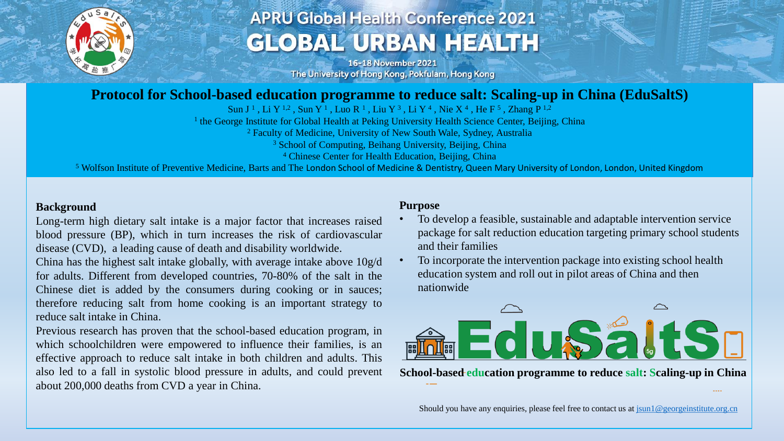

# **APRU Global Health Conference 2021 GLOBAL URBAN HEALTH**

16-18 November 2021 The University of Hong Kong, Pokfulam, Hong Kong

### **Protocol for School-based education programme to reduce salt: Scaling-up in China (EduSaltS)**

Sun J<sup>1</sup>, Li Y<sup>1,2</sup>, Sun Y<sup>1</sup>, Luo R<sup>1</sup>, Liu Y<sup>3</sup>, Li Y<sup>4</sup>, Nie X<sup>4</sup>, He F<sup>5</sup>, Zhang P<sup>1,2</sup>

<sup>1</sup> the George Institute for Global Health at Peking University Health Science Center, Beijing, China

<sup>2</sup> Faculty of Medicine, University of New South Wale, Sydney, Australia

<sup>3</sup> School of Computing, Beihang University, Beijing, China

<sup>4</sup> Chinese Center for Health Education, Beijing, China

<sup>5</sup> Wolfson Institute of Preventive Medicine, Barts and The London School of Medicine & Dentistry, Queen Mary University of London, London, United Kingdom

#### **Background**

Long-term high dietary salt intake is a major factor that increases raised blood pressure (BP), which in turn increases the risk of cardiovascular disease (CVD), a leading cause of death and disability worldwide.

China has the highest salt intake globally, with average intake above 10g/d for adults. Different from developed countries, 70-80% of the salt in the Chinese diet is added by the consumers during cooking or in sauces; therefore reducing salt from home cooking is an important strategy to reduce salt intake in China.

Previous research has proven that the school-based education program, in which schoolchildren were empowered to influence their families, is an effective approach to reduce salt intake in both children and adults. This also led to a fall in systolic blood pressure in adults, and could prevent about 200,000 deaths from CVD a year in China.

#### **Purpose**

- To develop a feasible, sustainable and adaptable intervention service package for salt reduction education targeting primary school students and their families
- To incorporate the intervention package into existing school health education system and roll out in pilot areas of China and then nationwide



**School-based education programme to reduce salt: Scaling-up in China**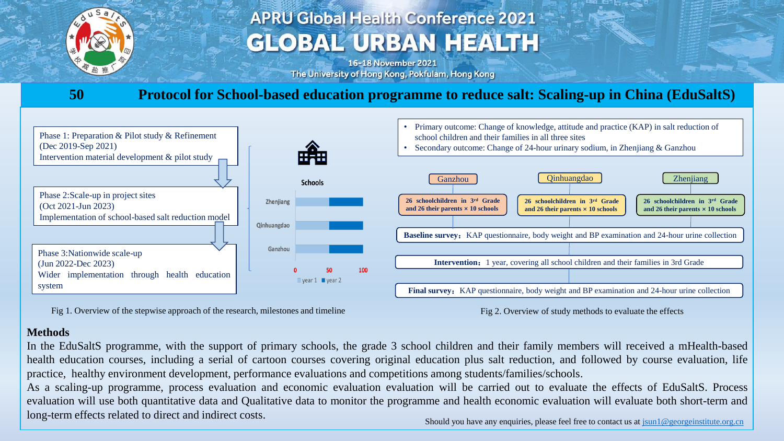

# **APRU Global Health Conference 2021 GLOBAL URBAN HEALTH**

16-18 November 2021 The University of Hong Kong, Pokfulam, Hong Kong

### **50 Protocol for School-based education programme to reduce salt: Scaling-up in China (EduSaltS)**



Fig 1. Overview of the stepwise approach of the research, milestones and timeline

#### Fig 2. Overview of study methods to evaluate the effects

#### **Methods**

In the EduSaltS programme, with the support of primary schools, the grade 3 school children and their family members will received a mHealth-based health education courses, including a serial of cartoon courses covering original education plus salt reduction, and followed by course evaluation, life practice, healthy environment development, performance evaluations and competitions among students/families/schools.

As a scaling-up programme, process evaluation and economic evaluation evaluation will be carried out to evaluate the effects of EduSaltS. Process evaluation will use both quantitative data and Qualitative data to monitor the programme and health economic evaluation will evaluate both short-term and long-term effects related to direct and indirect costs.

Should you have any enquiries, please feel free to contact us at  $\frac{\text{sum1@georgeinstitute.org}}{\text{sum1@georgeinstitute.org}}$